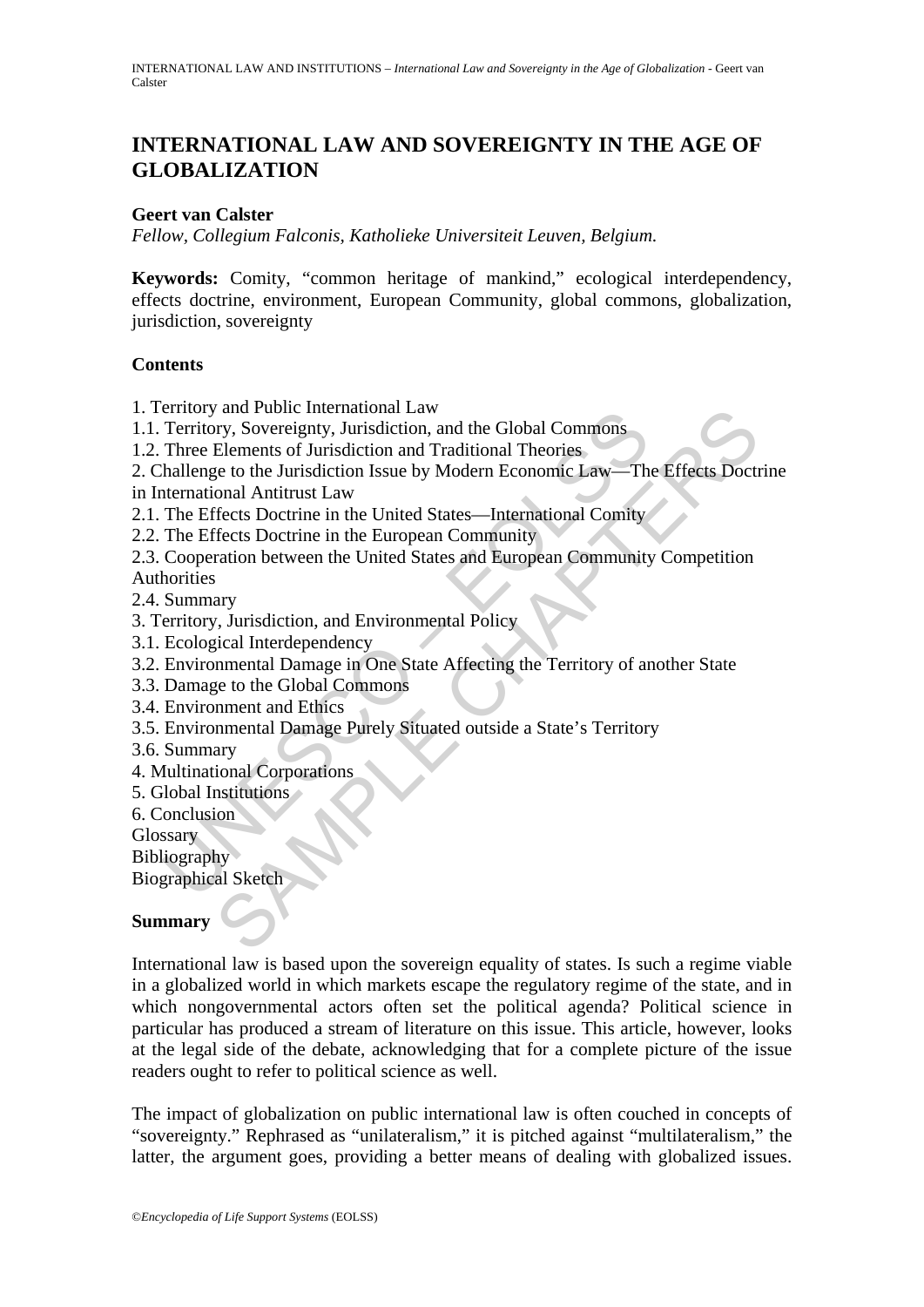## **INTERNATIONAL LAW AND SOVEREIGNTY IN THE AGE OF GLOBALIZATION**

#### **Geert van Calster**

*Fellow, Collegium Falconis, Katholieke Universiteit Leuven, Belgium.* 

**Keywords:** Comity, "common heritage of mankind," ecological interdependency, effects doctrine, environment, European Community, global commons, globalization, jurisdiction, sovereignty

#### **Contents**

- 1. Territory and Public International Law
- 1.1. Territory, Sovereignty, Jurisdiction, and the Global Commons
- 1.2. Three Elements of Jurisdiction and Traditional Theories

2. Challenge to the Jurisdiction Issue by Modern Economic Law—The Effects Doctrine in International Antitrust Law

- 2.1. The Effects Doctrine in the United States—International Comity
- 2.2. The Effects Doctrine in the European Community
- Framidy and Hundrich Linduchal Law<br>Territory, Sovereignty, Jurisdiction, and the Global Commons<br>There Elements of Jurisdiction and Traditional Theories<br>hallenge to the Jurisdiction Issue by Modern Economic Law—Th<br>ternation The multiplemational Law<br>
and Public International Theories<br>
They, Sovereignty, Jurisdiction and Traditional Theories<br>
Elements of Jurisdiction Issue by Modern Economic Law—The Effects Doct<br>
The Chaptains Law<br>
The Chaptain 2.3. Cooperation between the United States and European Community Competition Authorities
- 2.4. Summary
- 3. Territory, Jurisdiction, and Environmental Policy
- 3.1. Ecological Interdependency
- 3.2. Environmental Damage in One State Affecting the Territory of another State
- 3.3. Damage to the Global Commons
- 3.4. Environment and Ethics
- 3.5. Environmental Damage Purely Situated outside a State's Territory
- 3.6. Summary
- 4. Multinational Corporations
- 5. Global Institutions
- 6. Conclusion
- **Glossary**
- **Bibliography**

Biographical Sketch

#### **Summary**

International law is based upon the sovereign equality of states. Is such a regime viable in a globalized world in which markets escape the regulatory regime of the state, and in which nongovernmental actors often set the political agenda? Political science in particular has produced a stream of literature on this issue. This article, however, looks at the legal side of the debate, acknowledging that for a complete picture of the issue readers ought to refer to political science as well.

The impact of globalization on public international law is often couched in concepts of "sovereignty." Rephrased as "unilateralism," it is pitched against "multilateralism," the latter, the argument goes, providing a better means of dealing with globalized issues.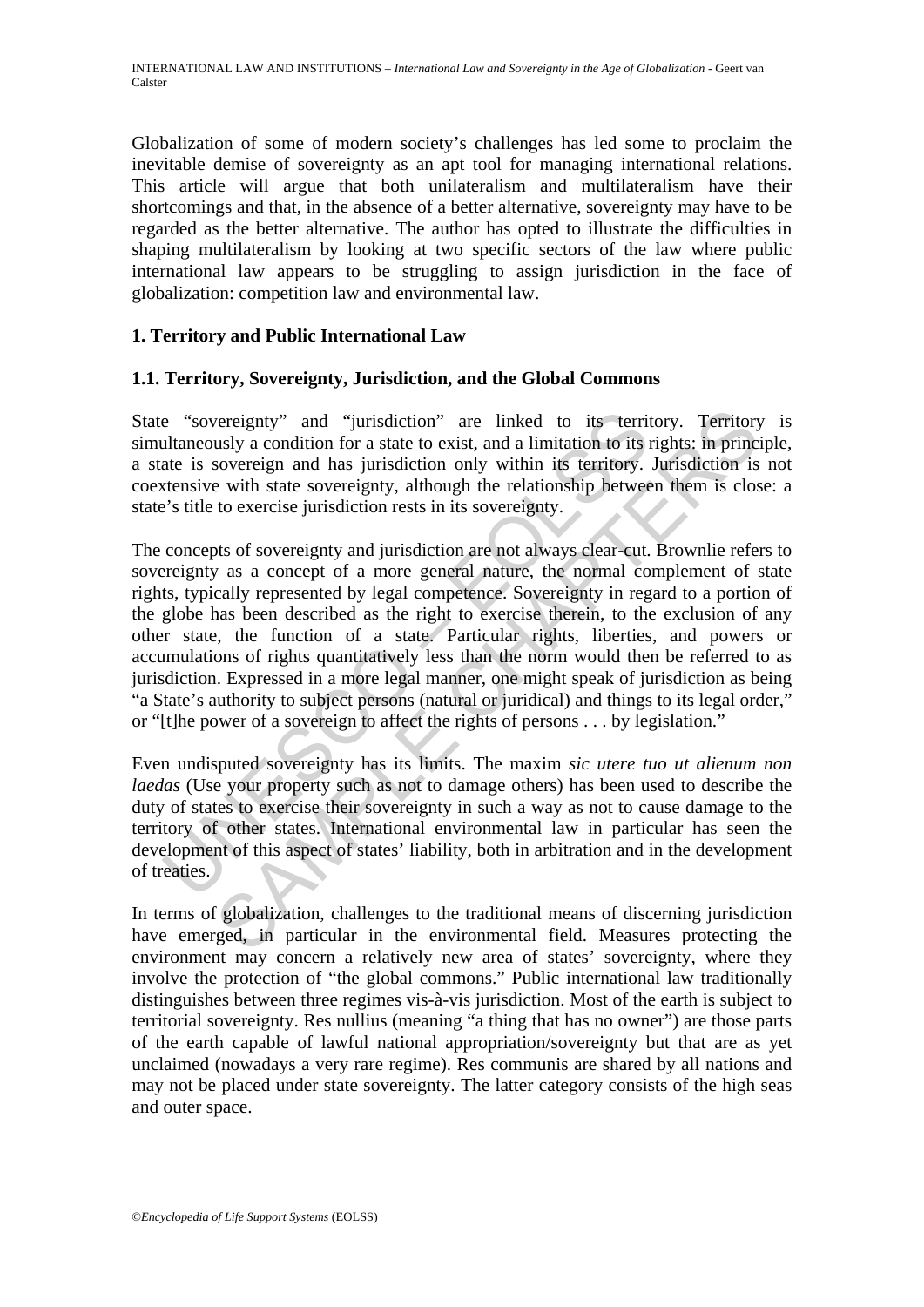Globalization of some of modern society's challenges has led some to proclaim the inevitable demise of sovereignty as an apt tool for managing international relations. This article will argue that both unilateralism and multilateralism have their shortcomings and that, in the absence of a better alternative, sovereignty may have to be regarded as the better alternative. The author has opted to illustrate the difficulties in shaping multilateralism by looking at two specific sectors of the law where public international law appears to be struggling to assign jurisdiction in the face of globalization: competition law and environmental law.

#### **1. Territory and Public International Law**

#### **1.1. Territory, Sovereignty, Jurisdiction, and the Global Commons**

State "sovereignty" and "jurisdiction" are linked to its territory. Territory is simultaneously a condition for a state to exist, and a limitation to its rights: in principle, a state is sovereign and has jurisdiction only within its territory. Jurisdiction is not coextensive with state sovereignty, although the relationship between them is close: a state's title to exercise jurisdiction rests in its sovereignty.

e "sovereignty" and "jurisdiction" are linked to its terriultaneously a condition for a state to exist, and a limitation to its jate is sovereign and has jurisdiction only within its territory.<br>
xtensive with state sovere between the "installation" are linked to its territory. Territory<br>susly a condition for a state to exist, and a limitation to its rights: in princ<br>sovereign and has jurisdiction only within its territory. Jurisdiction is<br> The concepts of sovereignty and jurisdiction are not always clear-cut. Brownlie refers to sovereignty as a concept of a more general nature, the normal complement of state rights, typically represented by legal competence. Sovereignty in regard to a portion of the globe has been described as the right to exercise therein, to the exclusion of any other state, the function of a state. Particular rights, liberties, and powers or accumulations of rights quantitatively less than the norm would then be referred to as jurisdiction. Expressed in a more legal manner, one might speak of jurisdiction as being "a State's authority to subject persons (natural or juridical) and things to its legal order," or "[t]he power of a sovereign to affect the rights of persons . . . by legislation."

Even undisputed sovereignty has its limits. The maxim *sic utere tuo ut alienum non laedas* (Use your property such as not to damage others) has been used to describe the duty of states to exercise their sovereignty in such a way as not to cause damage to the territory of other states. International environmental law in particular has seen the development of this aspect of states' liability, both in arbitration and in the development of treaties.

In terms of globalization, challenges to the traditional means of discerning jurisdiction have emerged, in particular in the environmental field. Measures protecting the environment may concern a relatively new area of states' sovereignty, where they involve the protection of "the global commons." Public international law traditionally distinguishes between three regimes vis-à-vis jurisdiction. Most of the earth is subject to territorial sovereignty. Res nullius (meaning "a thing that has no owner") are those parts of the earth capable of lawful national appropriation/sovereignty but that are as yet unclaimed (nowadays a very rare regime). Res communis are shared by all nations and may not be placed under state sovereignty. The latter category consists of the high seas and outer space.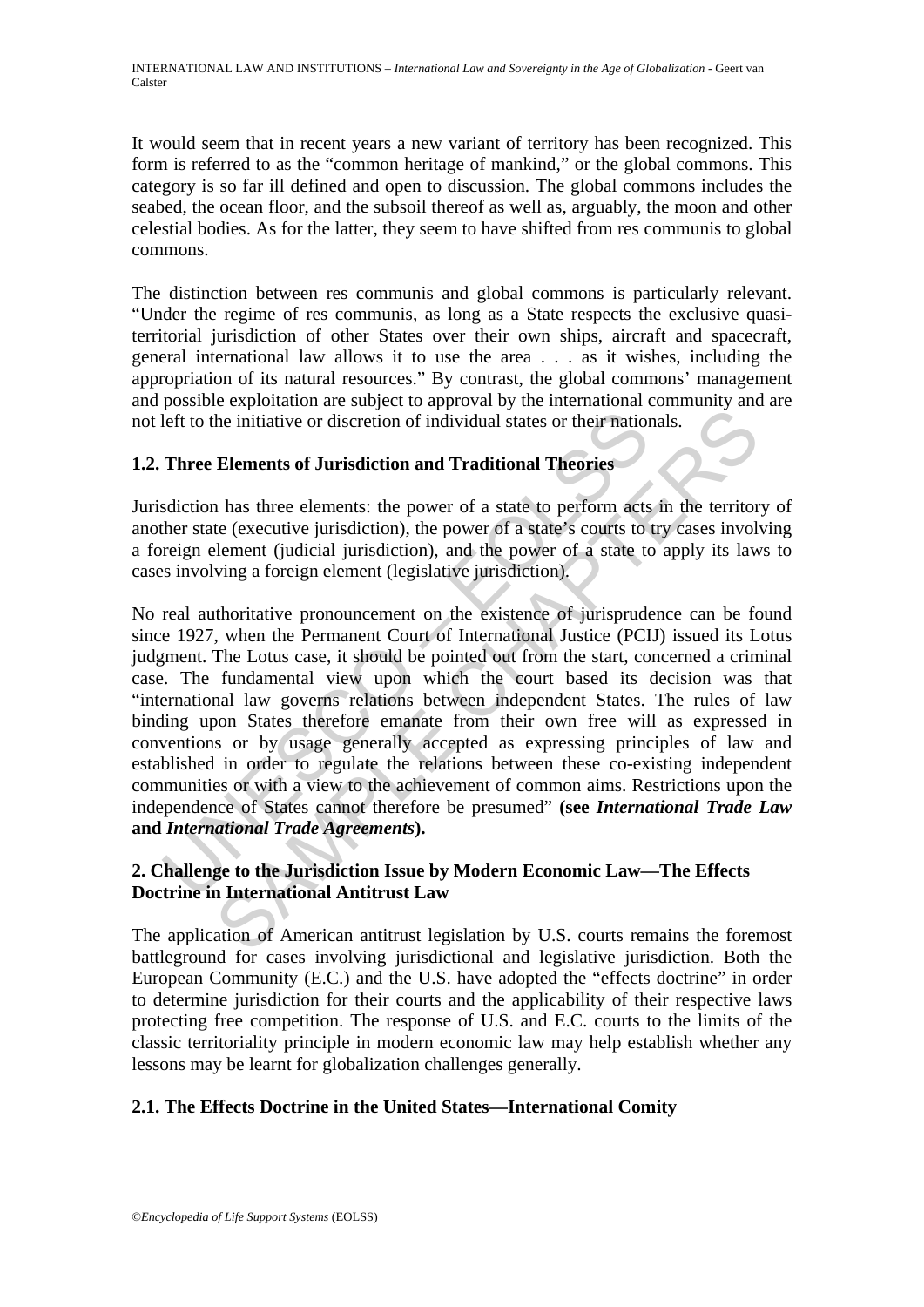It would seem that in recent years a new variant of territory has been recognized. This form is referred to as the "common heritage of mankind," or the global commons. This category is so far ill defined and open to discussion. The global commons includes the seabed, the ocean floor, and the subsoil thereof as well as, arguably, the moon and other celestial bodies. As for the latter, they seem to have shifted from res communis to global commons.

The distinction between res communis and global commons is particularly relevant. "Under the regime of res communis, as long as a State respects the exclusive quasiterritorial jurisdiction of other States over their own ships, aircraft and spacecraft, general international law allows it to use the area . . . as it wishes, including the appropriation of its natural resources." By contrast, the global commons' management and possible exploitation are subject to approval by the international community and are not left to the initiative or discretion of individual states or their nationals.

## **1.2. Three Elements of Jurisdiction and Traditional Theories**

Jurisdiction has three elements: the power of a state to perform acts in the territory of another state (executive jurisdiction), the power of a state's courts to try cases involving a foreign element (judicial jurisdiction), and the power of a state to apply its laws to cases involving a foreign element (legislative jurisdiction).

left to the initiative or discretion of individual states or their nation<br>Three Elements of Jurisdiction and Traditional Theories<br>sdiction has three elements: the power of a state to perform acts<br>ther state (executive juri be initiative or discretion of individual states or their rationals.<br>
Elements of Jurisdiction and Traditional Theories<br>
1 has three elements: the power of a state to perform acts in the territor<br>
te (executive jurisdictio No real authoritative pronouncement on the existence of jurisprudence can be found since 1927, when the Permanent Court of International Justice (PCIJ) issued its Lotus judgment. The Lotus case, it should be pointed out from the start, concerned a criminal case. The fundamental view upon which the court based its decision was that "international law governs relations between independent States. The rules of law binding upon States therefore emanate from their own free will as expressed in conventions or by usage generally accepted as expressing principles of law and established in order to regulate the relations between these co-existing independent communities or with a view to the achievement of common aims. Restrictions upon the independence of States cannot therefore be presumed" **(see** *International Trade Law* **and** *International Trade Agreements***).** 

## **2. Challenge to the Jurisdiction Issue by Modern Economic Law—The Effects Doctrine in International Antitrust Law**

The application of American antitrust legislation by U.S. courts remains the foremost battleground for cases involving jurisdictional and legislative jurisdiction. Both the European Community (E.C.) and the U.S. have adopted the "effects doctrine" in order to determine jurisdiction for their courts and the applicability of their respective laws protecting free competition. The response of U.S. and E.C. courts to the limits of the classic territoriality principle in modern economic law may help establish whether any lessons may be learnt for globalization challenges generally.

## **2.1. The Effects Doctrine in the United States—International Comity**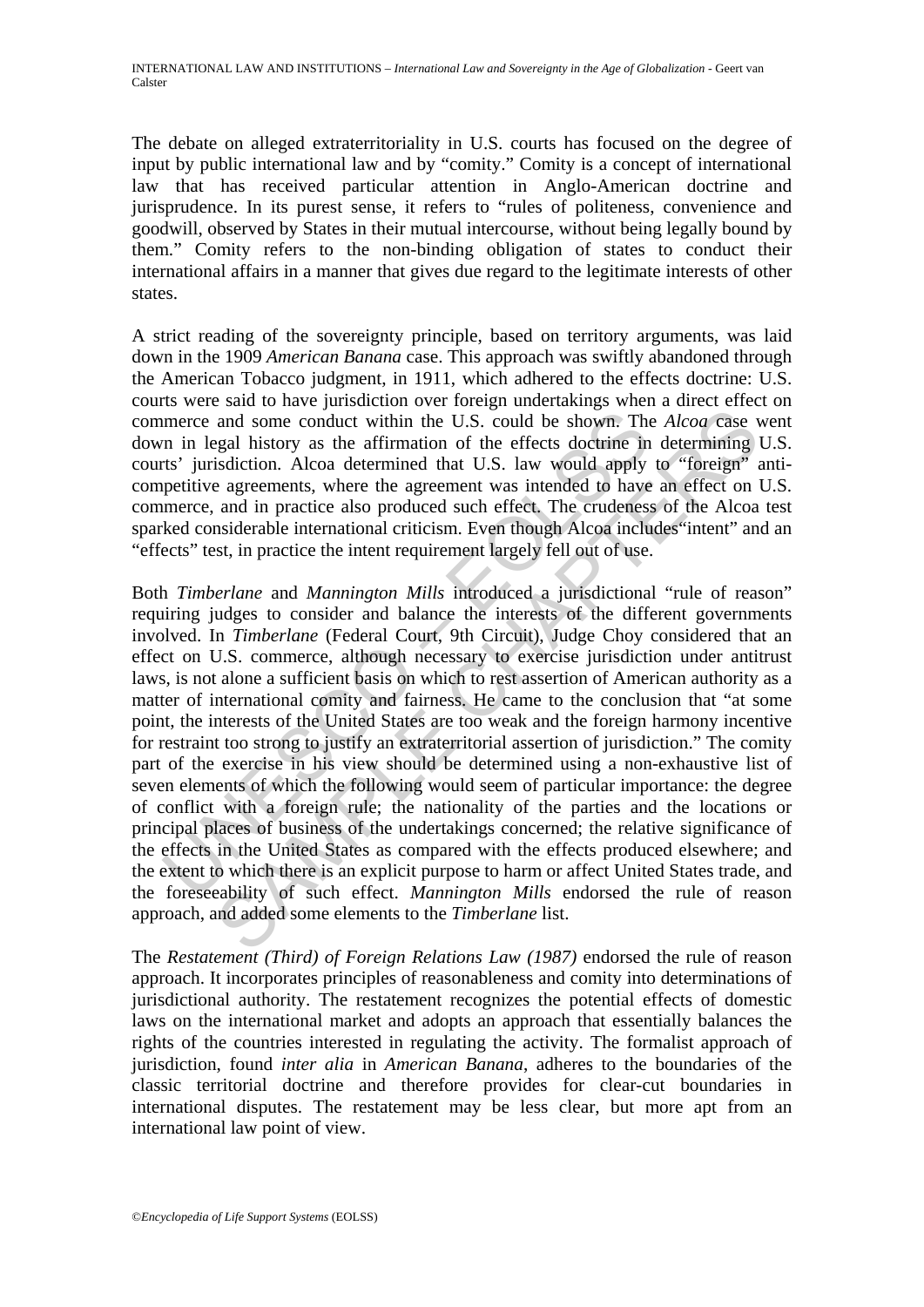The debate on alleged extraterritoriality in U.S. courts has focused on the degree of input by public international law and by "comity." Comity is a concept of international law that has received particular attention in Anglo-American doctrine and jurisprudence. In its purest sense, it refers to "rules of politeness, convenience and goodwill, observed by States in their mutual intercourse, without being legally bound by them." Comity refers to the non-binding obligation of states to conduct their international affairs in a manner that gives due regard to the legitimate interests of other states.

A strict reading of the sovereignty principle, based on territory arguments, was laid down in the 1909 *American Banana* case. This approach was swiftly abandoned through the American Tobacco judgment, in 1911, which adhered to the effects doctrine: U.S. courts were said to have jurisdiction over foreign undertakings when a direct effect on commerce and some conduct within the U.S. could be shown. The *Alcoa* case went down in legal history as the affirmation of the effects doctrine in determining U.S. courts' jurisdiction. Alcoa determined that U.S. law would apply to "foreign" anticompetitive agreements, where the agreement was intended to have an effect on U.S. commerce, and in practice also produced such effect. The crudeness of the Alcoa test sparked considerable international criticism. Even though Alcoa includes"intent" and an "effects" test, in practice the intent requirement largely fell out of use.

merce and some conduct within the U.S. could be shown. The<br>m in legal history as the affirmation of the effects doctrine in<br>ts' jurisdiction. Alcoa determined that U.S. law would apply<br>petitive agreements, where the agreem and some conduct within the U.S. could be shown. The *Alcoa* case vegal history as the affirmation of the effects doctrine in determining isolation. Alcoa determined that U.S. law would apply to "foreign" is agreements, w Both *Timberlane* and *Mannington Mills* introduced a jurisdictional "rule of reason" requiring judges to consider and balance the interests of the different governments involved. In *Timberlane* (Federal Court, 9th Circuit), Judge Choy considered that an effect on U.S. commerce, although necessary to exercise jurisdiction under antitrust laws, is not alone a sufficient basis on which to rest assertion of American authority as a matter of international comity and fairness. He came to the conclusion that "at some point, the interests of the United States are too weak and the foreign harmony incentive for restraint too strong to justify an extraterritorial assertion of jurisdiction." The comity part of the exercise in his view should be determined using a non-exhaustive list of seven elements of which the following would seem of particular importance: the degree of conflict with a foreign rule; the nationality of the parties and the locations or principal places of business of the undertakings concerned; the relative significance of the effects in the United States as compared with the effects produced elsewhere; and the extent to which there is an explicit purpose to harm or affect United States trade, and the foreseeability of such effect. *Mannington Mills* endorsed the rule of reason approach, and added some elements to the *Timberlane* list.

The *Restatement (Third) of Foreign Relations Law (1987)* endorsed the rule of reason approach. It incorporates principles of reasonableness and comity into determinations of jurisdictional authority. The restatement recognizes the potential effects of domestic laws on the international market and adopts an approach that essentially balances the rights of the countries interested in regulating the activity. The formalist approach of jurisdiction, found *inter alia* in *American Banana*, adheres to the boundaries of the classic territorial doctrine and therefore provides for clear-cut boundaries in international disputes. The restatement may be less clear, but more apt from an international law point of view.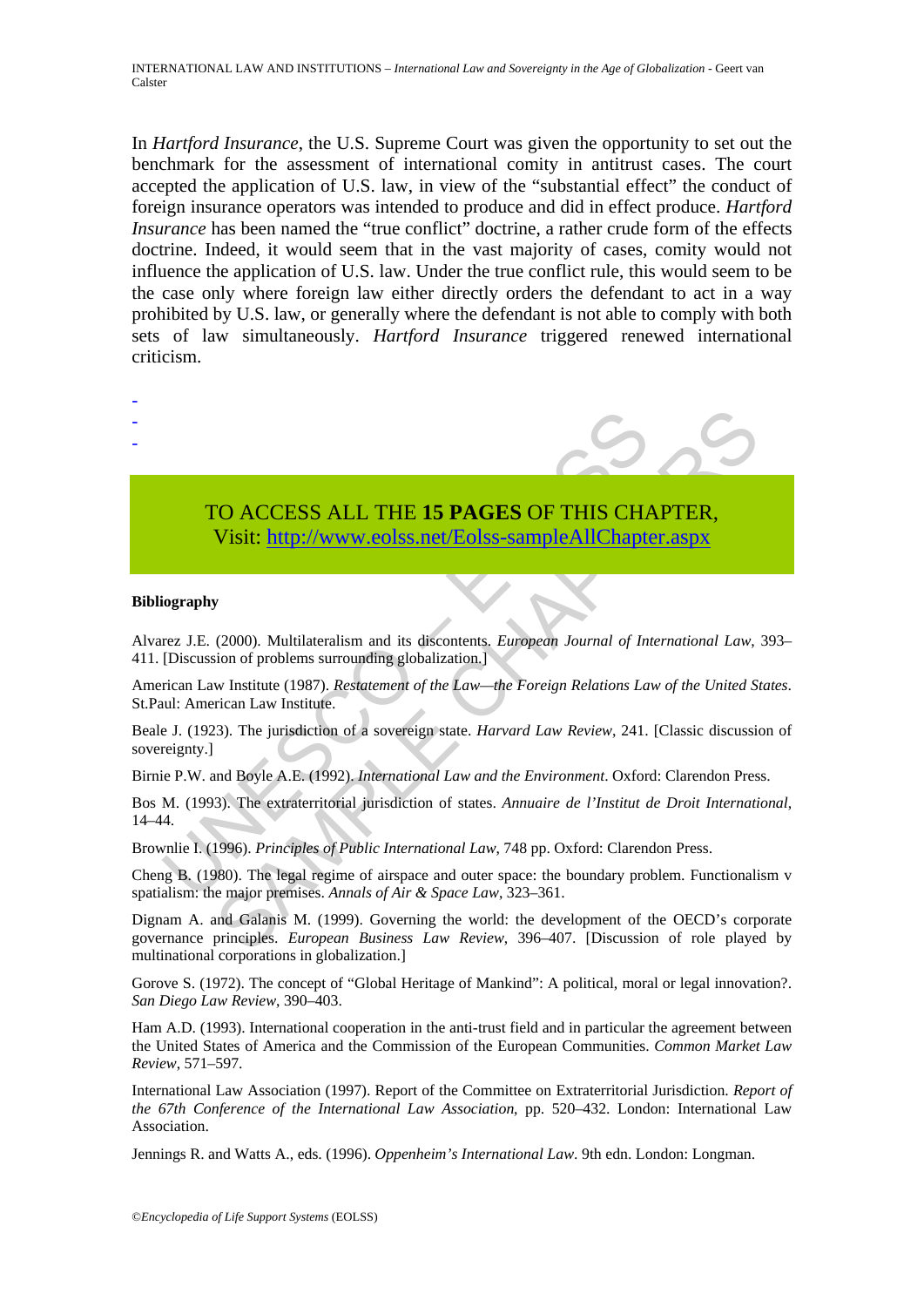INTERNATIONAL LAW AND INSTITUTIONS – *International Law and Sovereignty in the Age of Globalization* - Geert van Calster

In *Hartford Insurance*, the U.S. Supreme Court was given the opportunity to set out the benchmark for the assessment of international comity in antitrust cases. The court accepted the application of U.S. law, in view of the "substantial effect" the conduct of foreign insurance operators was intended to produce and did in effect produce. *Hartford Insurance* has been named the "true conflict" doctrine, a rather crude form of the effects doctrine. Indeed, it would seem that in the vast majority of cases, comity would not influence the application of U.S. law. Under the true conflict rule, this would seem to be the case only where foreign law either directly orders the defendant to act in a way prohibited by U.S. law, or generally where the defendant is not able to comply with both sets of law simultaneously. *Hartford Insurance* triggered renewed international criticism.



# TO ACCESS ALL THE **15 PAGES** OF THIS CHAPTER,

Visit: http://www.eolss.net/Eolss-sampleAllChapter.aspx

#### **Bibliography**

Alvarez J.E. (2000). Multilateralism and its discontents. *European Journal of International Law*, 393– 411. [Discussion of problems surrounding globalization.]

American Law Institute (1987). *Restatement of the Law—the Foreign Relations Law of the United States*. St.Paul: American Law Institute.

Beale J. (1923). The jurisdiction of a sovereign state. *Harvard Law Review*, 241. [Classic discussion of sovereignty.]

Birnie P.W. and Boyle A.E. (1992). *International Law and the Environment*. Oxford: Clarendon Press.

Bos M. (1993). The extraterritorial jurisdiction of states. *Annuaire de l'Institut de Droit International*, 14–44.

Brownlie I. (1996). *Principles of Public International Law*, 748 pp. Oxford: Clarendon Press.

Cheng B. (1980). The legal regime of airspace and outer space: the boundary problem. Functionalism v spatialism: the major premises. *Annals of Air & Space Law*, 323–361.

CO ACCESS ALL THE 15 PAGES OF THIS CHA[PTE](https://www.eolss.net/ebooklib/sc_cart.aspx?File=E1-36-01-04)R,<br>
Visit: http://www.eolss.net/Eolss-sampleAllChapter.aspx<br>
(2000). Multilateralism and its discontents, *European Journal of International Law*,<br>
(2000). Multilateralism and its d Dignam A. and Galanis M. (1999). Governing the world: the development of the OECD's corporate governance principles. *European Business Law Review*, 396–407. [Discussion of role played by multinational corporations in globalization.]

Gorove S. (1972). The concept of "Global Heritage of Mankind": A political, moral or legal innovation?. *San Diego Law Review*, 390–403.

Ham A.D. (1993). International cooperation in the anti-trust field and in particular the agreement between the United States of America and the Commission of the European Communities. *Common Market Law Review*, 571–597.

International Law Association (1997). Report of the Committee on Extraterritorial Jurisdiction. *Report of the 67th Conference of the International Law Association*, pp. 520–432. London: International Law Association.

Jennings R. and Watts A., eds. (1996). *Oppenheim's International Law*. 9th edn. London: Longman.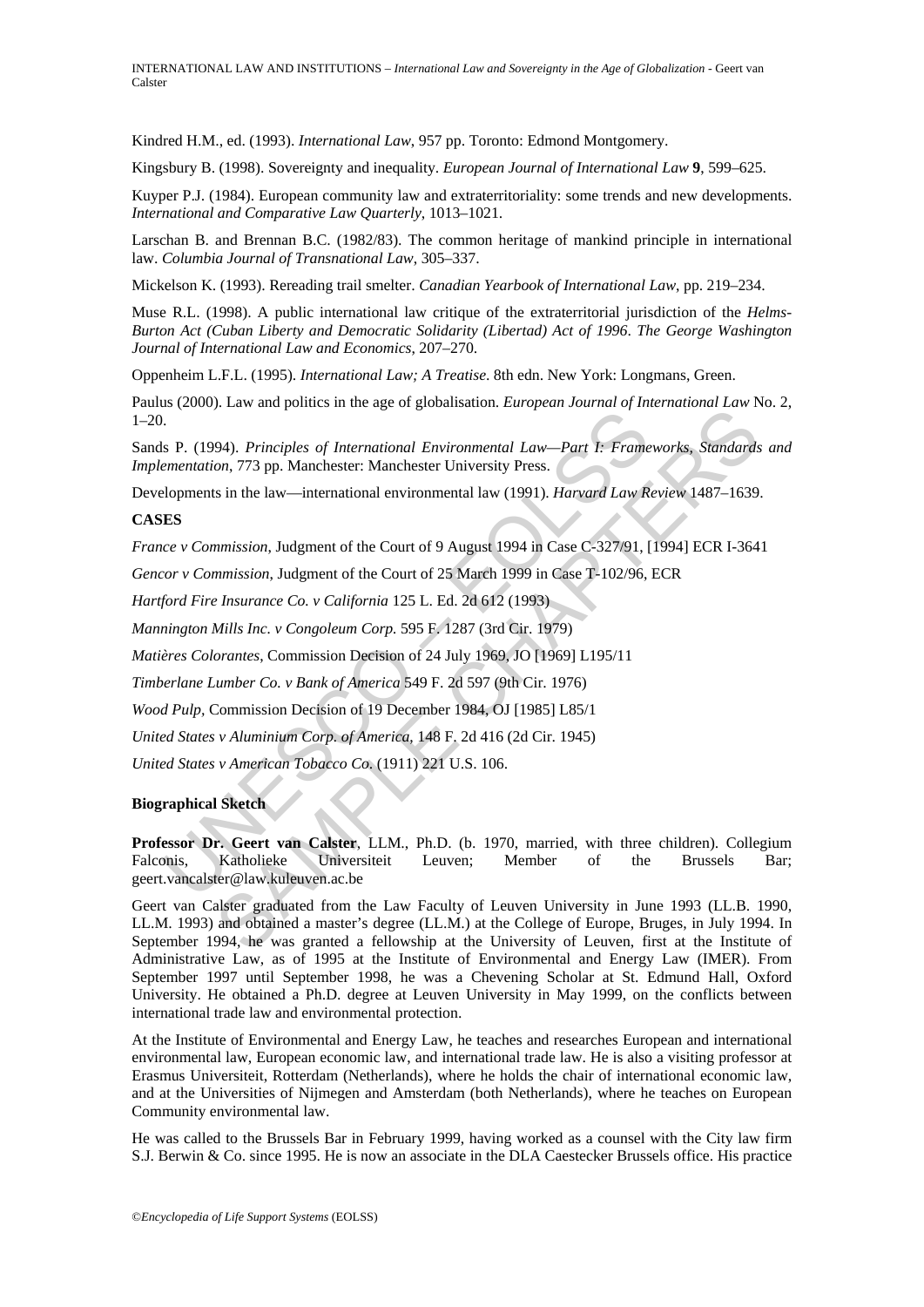Kindred H.M., ed. (1993). *International Law*, 957 pp. Toronto: Edmond Montgomery.

Kingsbury B. (1998). Sovereignty and inequality. *European Journal of International Law* **9**, 599–625.

Kuyper P.J. (1984). European community law and extraterritoriality: some trends and new developments. *International and Comparative Law Quarterly*, 1013–1021.

Larschan B. and Brennan B.C. (1982/83). The common heritage of mankind principle in international law. *Columbia Journal of Transnational Law*, 305–337.

Mickelson K. (1993). Rereading trail smelter. *Canadian Yearbook of International Law*, pp. 219–234.

Muse R.L. (1998). A public international law critique of the extraterritorial jurisdiction of the *Helms-Burton Act (Cuban Liberty and Democratic Solidarity (Libertad) Act of 1996*. *The George Washington Journal of International Law and Economics*, 207–270.

Oppenheim L.F.L. (1995). *International Law; A Treatise*. 8th edn. New York: Longmans, Green.

Paulus (2000). Law and politics in the age of globalisation. *European Journal of International Law* No. 2, 1–20.

Sands P. (1994). *Principles of International Environmental Law—Part I: Frameworks, Standards and Implementation*, 773 pp. Manchester: Manchester University Press.

Developments in the law—international environmental law (1991). *Harvard Law Review* 1487–1639.

#### **CASES**

*France v Commission*, Judgment of the Court of 9 August 1994 in Case C-327/91, [1994] ECR I-3641

*Gencor v Commission*, Judgment of the Court of 25 March 1999 in Case T-102/96, ECR

*Hartford Fire Insurance Co. v California* 125 L. Ed. 2d 612 (1993)

*Mannington Mills Inc. v Congoleum Corp.* 595 F. 1287 (3rd Cir. 1979)

*Matières Colorantes*, Commission Decision of 24 July 1969, JO [1969] L195/11

*Timberlane Lumber Co. v Bank of America* 549 F. 2d 597 (9th Cir. 1976)

*Wood Pulp,* Commission Decision of 19 December 1984, OJ [1985] L85/1

*United States v Aluminium Corp. of America*, 148 F. 2d 416 (2d Cir. 1945)

*United States v American Tobacco Co*. (1911) 221 U.S. 106.

#### **Biographical Sketch**

1. Solony, Emmanus Primas in the Lagrantian Comparison and Pearl of the Section and Environmental Law—Part I: Frame<br>
ES<br>
1. S.P. (1994). Principles of International Environmental Law—Part I: Frame<br>
Ence v Commission, Judgm **Professor Dr. Geert van Calster**, LLM., Ph.D. (b. 1970, married, with three children). Collegium Falconis, Katholieke Universiteit Leuven; Member of the Brussels Bar; geert.vancalster@law.kuleuven.ac.be

9. Law and points in the type or groothistand. Envoyed is standard of international Easter<br>
94). Principles of International Environmental Law—Part I: Frameworks, Standards<br>
19. T73 pp. Manchester: Manchester University P Geert van Calster graduated from the Law Faculty of Leuven University in June 1993 (LL.B. 1990, LL.M. 1993) and obtained a master's degree (LL.M.) at the College of Europe, Bruges, in July 1994. In September 1994, he was granted a fellowship at the University of Leuven, first at the Institute of Administrative Law, as of 1995 at the Institute of Environmental and Energy Law (IMER). From September 1997 until September 1998, he was a Chevening Scholar at St. Edmund Hall, Oxford University. He obtained a Ph.D. degree at Leuven University in May 1999, on the conflicts between international trade law and environmental protection.

At the Institute of Environmental and Energy Law, he teaches and researches European and international environmental law, European economic law, and international trade law. He is also a visiting professor at Erasmus Universiteit, Rotterdam (Netherlands), where he holds the chair of international economic law, and at the Universities of Nijmegen and Amsterdam (both Netherlands), where he teaches on European Community environmental law.

He was called to the Brussels Bar in February 1999, having worked as a counsel with the City law firm S.J. Berwin & Co. since 1995. He is now an associate in the DLA Caestecker Brussels office. His practice